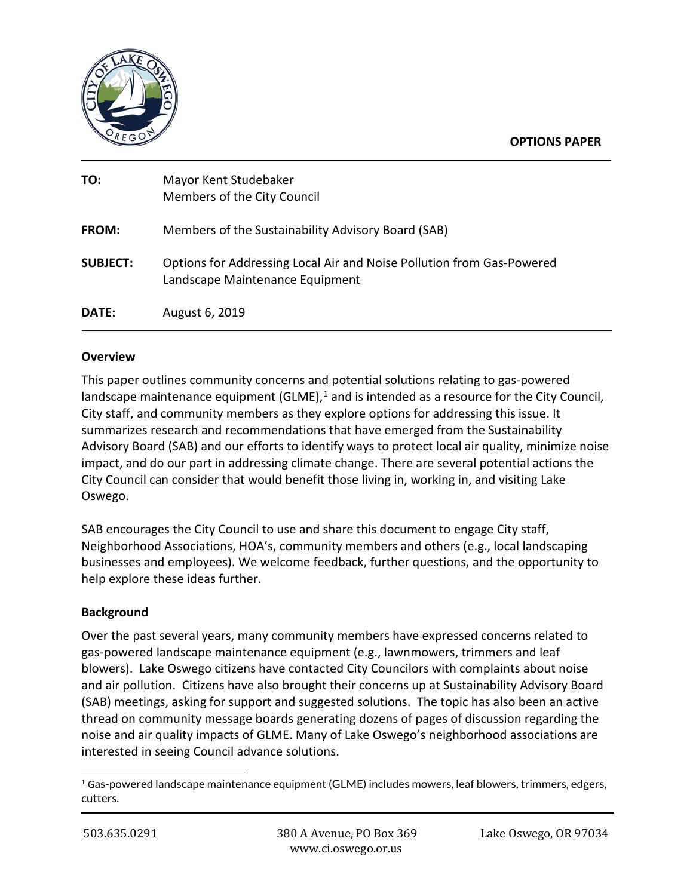

#### **OPTIONS PAPER**

| TO:             | Mayor Kent Studebaker<br>Members of the City Council                                                     |
|-----------------|----------------------------------------------------------------------------------------------------------|
| <b>FROM:</b>    | Members of the Sustainability Advisory Board (SAB)                                                       |
| <b>SUBJECT:</b> | Options for Addressing Local Air and Noise Pollution from Gas-Powered<br>Landscape Maintenance Equipment |
| DATE:           | August 6, 2019                                                                                           |

### **Overview**

This paper outlines community concerns and potential solutions relating to gas-powered landscape maintenance equipment (GLME),<sup>[1](#page-0-0)</sup> and is intended as a resource for the City Council, City staff, and community members as they explore options for addressing this issue. It summarizes research and recommendations that have emerged from the Sustainability Advisory Board (SAB) and our efforts to identify ways to protect local air quality, minimize noise impact, and do our part in addressing climate change. There are several potential actions the City Council can consider that would benefit those living in, working in, and visiting Lake Oswego.

SAB encourages the City Council to use and share this document to engage City staff, Neighborhood Associations, HOA's, community members and others (e.g., local landscaping businesses and employees). We welcome feedback, further questions, and the opportunity to help explore these ideas further.

### **Background**

Over the past several years, many community members have expressed concerns related to gas-powered landscape maintenance equipment (e.g., lawnmowers, trimmers and leaf blowers). Lake Oswego citizens have contacted City Councilors with complaints about noise and air pollution. Citizens have also brought their concerns up at Sustainability Advisory Board (SAB) meetings, asking for support and suggested solutions. The topic has also been an active thread on community message boards generating dozens of pages of discussion regarding the noise and air quality impacts of GLME. Many of Lake Oswego's neighborhood associations are interested in seeing Council advance solutions.

<span id="page-0-0"></span> $1$  Gas-powered landscape maintenance equipment (GLME) includes mowers, leaf blowers, trimmers, edgers, cutters.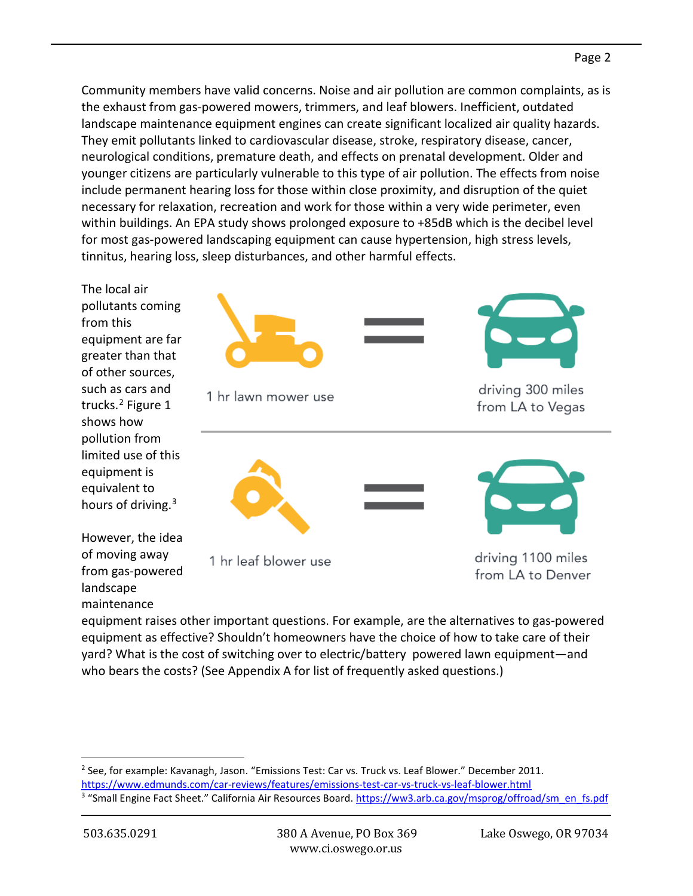Community members have valid concerns. Noise and air pollution are common complaints, as is the exhaust from gas-powered mowers, trimmers, and leaf blowers. Inefficient, outdated landscape maintenance equipment engines can create significant localized air quality hazards. They emit pollutants linked to cardiovascular disease, stroke, respiratory disease, cancer, neurological conditions, premature death, and effects on prenatal development. Older and younger citizens are particularly vulnerable to this type of air pollution. The effects from noise include permanent hearing loss for those within close proximity, and disruption of the quiet necessary for relaxation, recreation and work for those within a very wide perimeter, even within buildings. An EPA study shows prolonged exposure to +85dB which is the decibel level for most gas-powered landscaping equipment can cause hypertension, high stress levels, tinnitus, hearing loss, sleep disturbances, and other harmful effects.

The local air pollutants coming from this equipment are far greater than that of other sources, such as cars and trucks.[2](#page-1-0) Figure 1 shows how pollution from limited use of this equipment is equivalent to hours of driving.[3](#page-1-1)

However, the idea of moving away from gas-powered landscape maintenance



driving 1100 miles from LA to Denver

equipment raises other important questions. For example, are the alternatives to gas-powered equipment as effective? Shouldn't homeowners have the choice of how to take care of their yard? What is the cost of switching over to electric/battery powered lawn equipment—and who bears the costs? (See Appendix A for list of frequently asked questions.)

1 hr leaf blower use

<span id="page-1-0"></span> $2$  See, for example: Kavanagh, Jason. "Emissions Test: Car vs. Truck vs. Leaf Blower." December 2011. <https://www.edmunds.com/car-reviews/features/emissions-test-car-vs-truck-vs-leaf-blower.html>

<span id="page-1-1"></span><sup>&</sup>lt;sup>3</sup> "Small Engine Fact Sheet." California Air Resources Board. [https://ww3.arb.ca.gov/msprog/offroad/sm\\_en\\_fs.pdf](https://ww3.arb.ca.gov/msprog/offroad/sm_en_fs.pdf)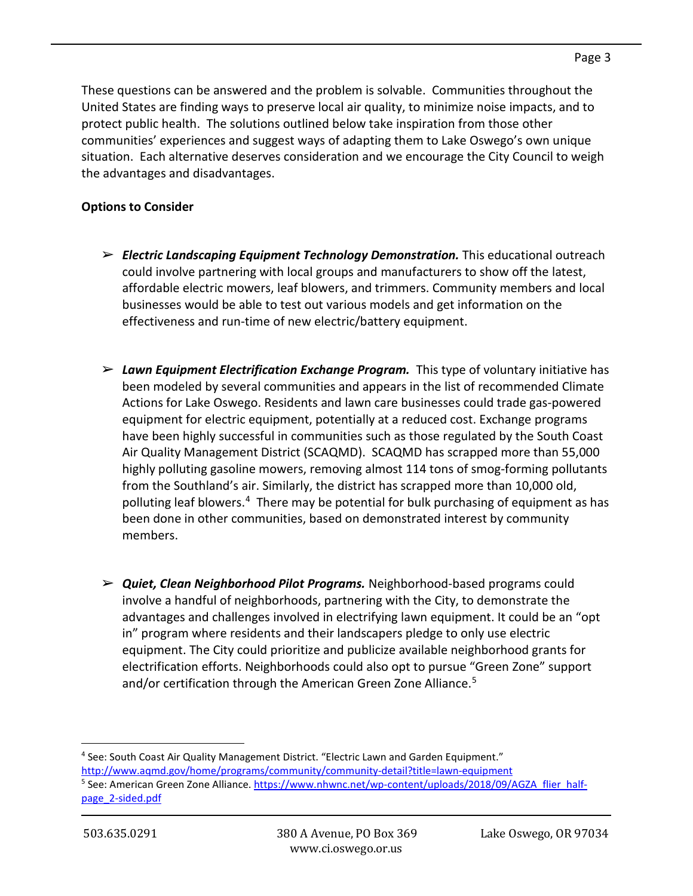These questions can be answered and the problem is solvable. Communities throughout the United States are finding ways to preserve local air quality, to minimize noise impacts, and to protect public health. The solutions outlined below take inspiration from those other communities' experiences and suggest ways of adapting them to Lake Oswego's own unique situation. Each alternative deserves consideration and we encourage the City Council to weigh the advantages and disadvantages.

## **Options to Consider**

- ➢ *Electric Landscaping Equipment Technology Demonstration.* This educational outreach could involve partnering with local groups and manufacturers to show off the latest, affordable electric mowers, leaf blowers, and trimmers. Community members and local businesses would be able to test out various models and get information on the effectiveness and run-time of new electric/battery equipment.
- ➢ *Lawn Equipment Electrification Exchange Program.* This type of voluntary initiative has been modeled by several communities and appears in the list of recommended Climate Actions for Lake Oswego. Residents and lawn care businesses could trade gas-powered equipment for electric equipment, potentially at a reduced cost. Exchange programs have been highly successful in communities such as those regulated by the South Coast Air Quality Management District (SCAQMD). SCAQMD has scrapped more than 55,000 highly polluting gasoline mowers, removing almost 114 tons of smog-forming pollutants from the Southland's air. Similarly, the district has scrapped more than 10,000 old, polluting leaf blowers.[4](#page-2-0) There may be potential for bulk purchasing of equipment as has been done in other communities, based on demonstrated interest by community members.
- ➢ *Quiet, Clean Neighborhood Pilot Programs.* Neighborhood-based programs could involve a handful of neighborhoods, partnering with the City, to demonstrate the advantages and challenges involved in electrifying lawn equipment. It could be an "opt in" program where residents and their landscapers pledge to only use electric equipment. The City could prioritize and publicize available neighborhood grants for electrification efforts. Neighborhoods could also opt to pursue "Green Zone" support and/or certification through the American Green Zone Alliance.<sup>[5](#page-2-1)</sup>

<span id="page-2-1"></span><span id="page-2-0"></span><sup>4</sup> See: South Coast Air Quality Management District. "Electric Lawn and Garden Equipment." <http://www.aqmd.gov/home/programs/community/community-detail?title=lawn-equipment> <sup>5</sup> See: American Green Zone Alliance. [https://www.nhwnc.net/wp-content/uploads/2018/09/AGZA\\_flier\\_half](https://www.nhwnc.net/wp-content/uploads/2018/09/AGZA_flier_half-page_2-sided.pdf)[page\\_2-sided.pdf](https://www.nhwnc.net/wp-content/uploads/2018/09/AGZA_flier_half-page_2-sided.pdf)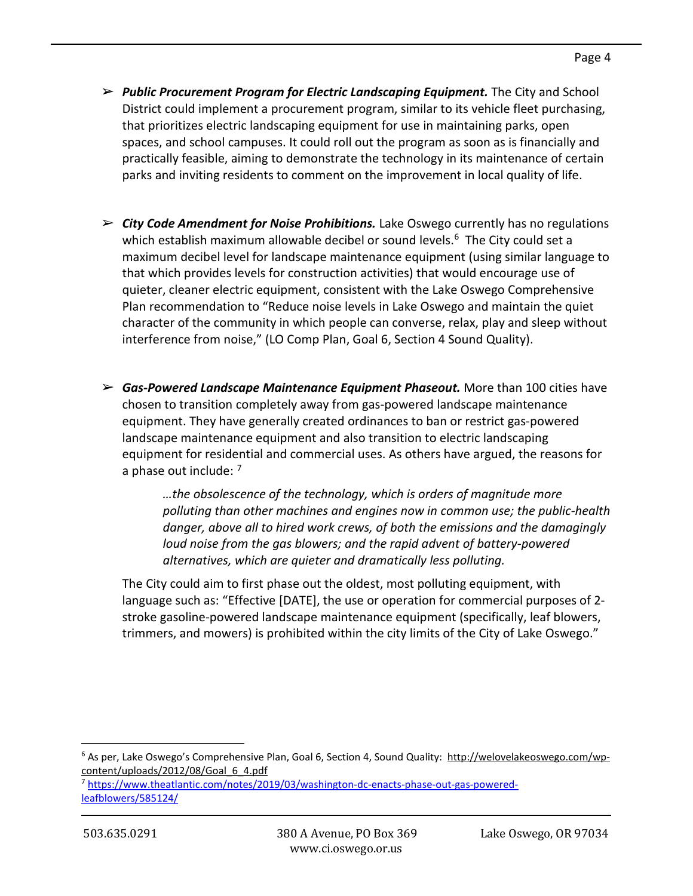- ➢ *Public Procurement Program for Electric Landscaping Equipment.* The City and School District could implement a procurement program, similar to its vehicle fleet purchasing, that prioritizes electric landscaping equipment for use in maintaining parks, open spaces, and school campuses. It could roll out the program as soon as is financially and practically feasible, aiming to demonstrate the technology in its maintenance of certain parks and inviting residents to comment on the improvement in local quality of life.
- ➢ *City Code Amendment for Noise Prohibitions.* Lake Oswego currently has no regulations which establish maximum allowable decibel or sound levels.<sup>[6](#page-3-0)</sup> The City could set a maximum decibel level for landscape maintenance equipment (using similar language to that which provides levels for construction activities) that would encourage use of quieter, cleaner electric equipment, consistent with the Lake Oswego Comprehensive Plan recommendation to "Reduce noise levels in Lake Oswego and maintain the quiet character of the community in which people can converse, relax, play and sleep without interference from noise," (LO Comp Plan, Goal 6, Section 4 Sound Quality).
- ➢ *Gas-Powered Landscape Maintenance Equipment Phaseout.* More than 100 cities have chosen to transition completely away from gas-powered landscape maintenance equipment. They have generally created ordinances to ban or restrict gas-powered landscape maintenance equipment and also transition to electric landscaping equipment for residential and commercial uses. As others have argued, the reasons for a phase out include: <sup>[7](#page-3-1)</sup>

*…the obsolescence of the technology, which is orders of magnitude more polluting than other machines and engines now in common use; the public-health danger, above all to hired work crews, of both the emissions and the damagingly loud noise from the gas blowers; and the rapid advent of battery-powered alternatives, which are quieter and dramatically less polluting.*

The City could aim to first phase out the oldest, most polluting equipment, with language such as: "Effective [DATE], the use or operation for commercial purposes of 2 stroke gasoline-powered landscape maintenance equipment (specifically, leaf blowers, trimmers, and mowers) is prohibited within the city limits of the City of Lake Oswego."

<span id="page-3-0"></span> $6$  As per, Lake Oswego's Comprehensive Plan, Goal 6, Section 4, Sound Quality: [http://welovelakeoswego.com/wp](http://welovelakeoswego.com/wp-content/uploads/2012/08/Goal_6_4.pdf)[content/uploads/2012/08/Goal\\_6\\_4.pdf](http://welovelakeoswego.com/wp-content/uploads/2012/08/Goal_6_4.pdf)

<span id="page-3-1"></span><sup>7</sup> [https://www.theatlantic.com/notes/2019/03/washington-dc-enacts-phase-out-gas-powered](https://www.theatlantic.com/notes/2019/03/washington-dc-enacts-phase-out-gas-powered-leafblowers/585124/)[leafblowers/585124/](https://www.theatlantic.com/notes/2019/03/washington-dc-enacts-phase-out-gas-powered-leafblowers/585124/)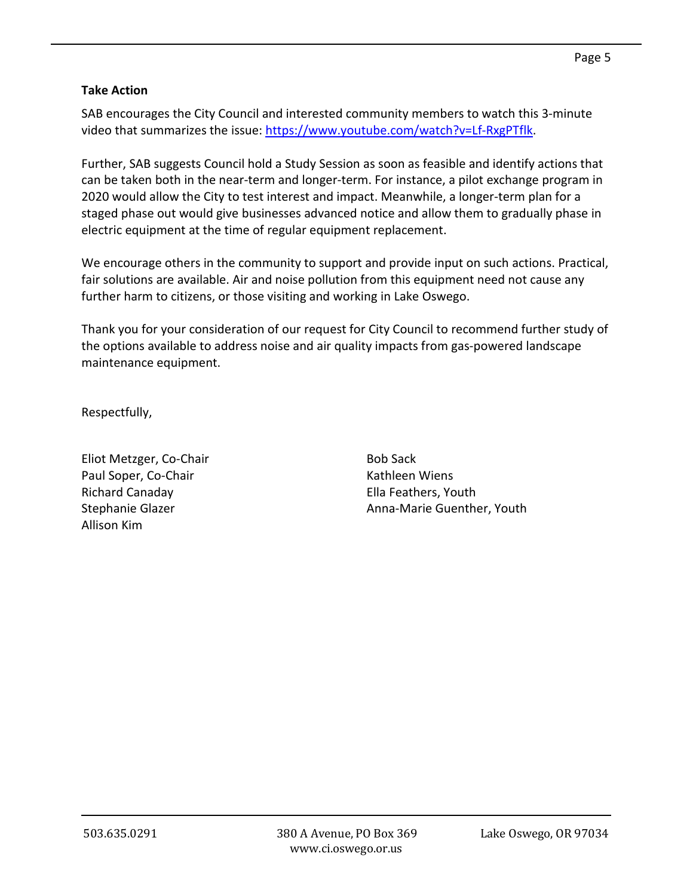## **Take Action**

SAB encourages the City Council and interested community members to watch this 3-minute video that summarizes the issue: [https://www.youtube.com/watch?v=Lf-RxgPTflk.](https://www.youtube.com/watch?v=Lf-RxgPTflk)

Further, SAB suggests Council hold a Study Session as soon as feasible and identify actions that can be taken both in the near-term and longer-term. For instance, a pilot exchange program in 2020 would allow the City to test interest and impact. Meanwhile, a longer-term plan for a staged phase out would give businesses advanced notice and allow them to gradually phase in electric equipment at the time of regular equipment replacement.

We encourage others in the community to support and provide input on such actions. Practical, fair solutions are available. Air and noise pollution from this equipment need not cause any further harm to citizens, or those visiting and working in Lake Oswego.

Thank you for your consideration of our request for City Council to recommend further study of the options available to address noise and air quality impacts from gas-powered landscape maintenance equipment.

Respectfully,

Eliot Metzger, Co-Chair Paul Soper, Co-Chair Richard Canaday Stephanie Glazer Allison Kim

Bob Sack Kathleen Wiens Ella Feathers, Youth Anna-Marie Guenther, Youth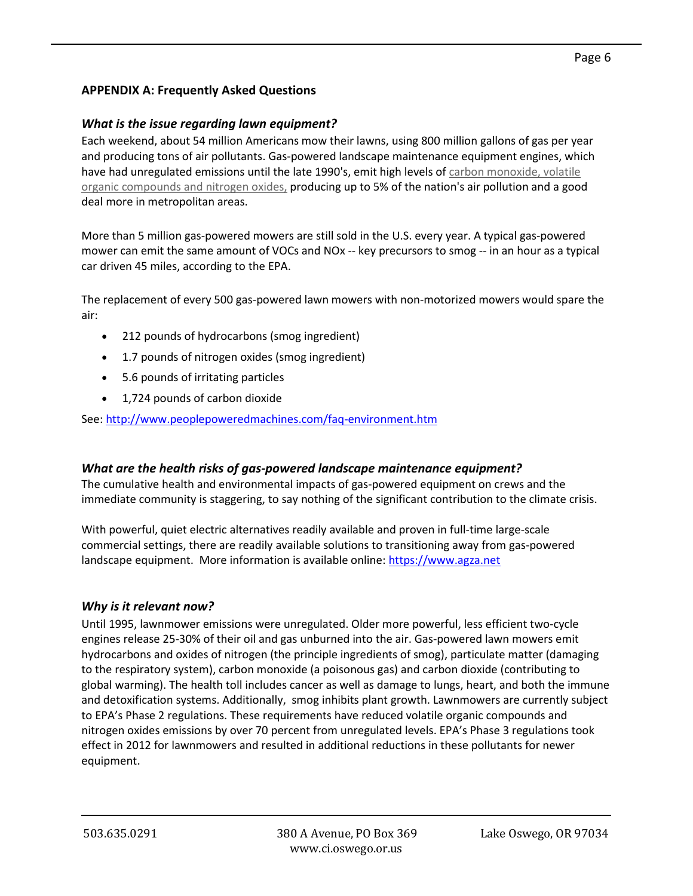# **APPENDIX A: Frequently Asked Questions**

### *What is the issue regarding lawn equipment?*

Each weekend, about 54 million Americans mow their lawns, using 800 million gallons of gas per year and producing tons of air pollutants. Gas-powered landscape maintenance equipment engines, which have had unregulated emissions until the late 1990's, emit high levels of carbon [monoxide,](http://www.peoplepoweredmachines.com/faq-environment.htm#pollutants) volatile organic [compounds](http://www.peoplepoweredmachines.com/faq-environment.htm#pollutants) and nitrogen oxides, producing up to 5% of the nation's air pollution and a good deal more in metropolitan areas.

More than 5 million gas-powered mowers are still sold in the U.S. every year. A typical gas-powered mower can emit the same amount of VOCs and NOx -- key precursors to smog -- in an hour as a typical car driven 45 miles, according to the EPA.

The replacement of every 500 gas-powered lawn mowers with non-motorized mowers would spare the air:

- 212 pounds of hydrocarbons (smog ingredient)
- 1.7 pounds of nitrogen oxides (smog ingredient)
- 5.6 pounds of irritating particles
- 1,724 pounds of carbon dioxide

See: <http://www.peoplepoweredmachines.com/faq-environment.htm>

### *What are the health risks of gas-powered landscape maintenance equipment?*

The cumulative health and environmental impacts of gas-powered equipment on crews and the immediate community is staggering, to say nothing of the significant contribution to the climate crisis.

With powerful, quiet electric alternatives readily available and proven in full-time large-scale commercial settings, there are readily available solutions to transitioning away from gas-powered landscape equipment. More information is available online: [https://www.agza.net](https://www.agza.net/)

### *Why is it relevant now?*

Until 1995, lawnmower emissions were unregulated. Older more powerful, less efficient two-cycle engines release 25-30% of their oil and gas unburned into the air. Gas-powered lawn mowers emit hydrocarbons and oxides of nitrogen (the principle ingredients of smog), particulate matter (damaging to the respiratory system), carbon monoxide (a poisonous gas) and carbon dioxide (contributing to global warming). The health toll includes cancer as well as damage to lungs, heart, and both the immune and detoxification systems. Additionally, smog inhibits plant growth. Lawnmowers are currently subject to EPA's Phase 2 regulations. These requirements have reduced volatile organic compounds and nitrogen oxides emissions by over 70 percent from unregulated levels. EPA's Phase 3 regulations took effect in 2012 for lawnmowers and resulted in additional reductions in these pollutants for newer equipment.